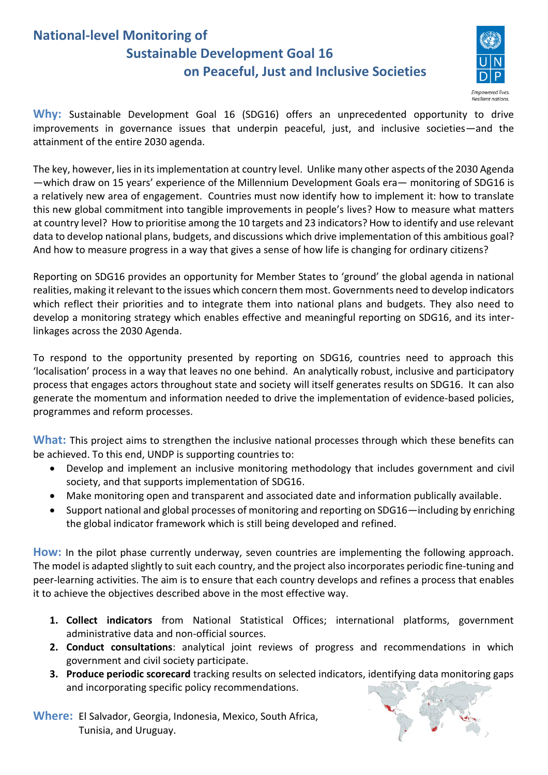## **National-level Monitoring of Sustainable Development Goal 16 on Peaceful, Just and Inclusive Societies**



**Why:** Sustainable Development Goal 16 (SDG16) offers an unprecedented opportunity to drive improvements in governance issues that underpin peaceful, just, and inclusive societies—and the attainment of the entire 2030 agenda.

The key, however, lies in itsimplementation at country level. Unlike many other aspects of the 2030 Agenda —which draw on 15 years' experience of the Millennium Development Goals era— monitoring of SDG16 is a relatively new area of engagement. Countries must now identify how to implement it: how to translate this new global commitment into tangible improvements in people's lives? How to measure what matters at country level? How to prioritise among the 10 targets and 23 indicators? How to identify and use relevant data to develop national plans, budgets, and discussions which drive implementation of this ambitious goal? And how to measure progress in a way that gives a sense of how life is changing for ordinary citizens?

Reporting on SDG16 provides an opportunity for Member States to 'ground' the global agenda in national realities, making it relevant to the issues which concern them most. Governments need to develop indicators which reflect their priorities and to integrate them into national plans and budgets. They also need to develop a monitoring strategy which enables effective and meaningful reporting on SDG16, and its interlinkages across the 2030 Agenda.

To respond to the opportunity presented by reporting on SDG16, countries need to approach this 'localisation' process in a way that leaves no one behind. An analytically robust, inclusive and participatory process that engages actors throughout state and society will itself generates results on SDG16. It can also generate the momentum and information needed to drive the implementation of evidence-based policies, programmes and reform processes.

What: This project aims to strengthen the inclusive national processes through which these benefits can be achieved. To this end, UNDP is supporting countries to:

- Develop and implement an inclusive monitoring methodology that includes government and civil society, and that supports implementation of SDG16.
- Make monitoring open and transparent and associated date and information publically available.
- Support national and global processes of monitoring and reporting on SDG16—including by enriching the global indicator framework which is still being developed and refined.

**How:** In the pilot phase currently underway, seven countries are implementing the following approach. The model is adapted slightly to suit each country, and the project also incorporates periodic fine-tuning and peer-learning activities. The aim is to ensure that each country develops and refines a process that enables it to achieve the objectives described above in the most effective way.

- **1. Collect indicators** from National Statistical Offices; international platforms, government administrative data and non-official sources.
- **2. Conduct consultations**: analytical joint reviews of progress and recommendations in which government and civil society participate.
- **3. Produce periodic scorecard** tracking results on selected indicators, identifying data monitoring gaps and incorporating specific policy recommendations.
- **Where:** El Salvador, Georgia, Indonesia, Mexico, South Africa, Tunisia, and Uruguay.